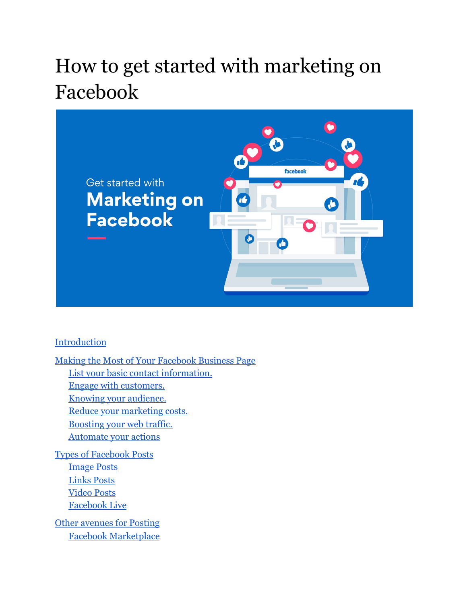# How to get started with marketing on Facebook



#### **[Introduction](#page-1-0)**

[Making the Most of Your Facebook Business Page](#page-2-0) [List your basic contact information.](#page-2-1) [Engage with customers.](#page-3-0) [Knowing your audience.](#page-3-1) [Reduce your marketing costs.](#page-4-0) [Boosting your web traffic.](#page-4-1) [Automate your actions](#page-5-0) [Types of Facebook Posts](#page-5-1) [Image Posts](#page-6-0) [Links Posts](#page-6-1) [Video Posts](#page-6-2) [Facebook Live](#page-7-0) [Other avenues for Posting](#page-7-1) [Facebook Marketplace](#page-8-0)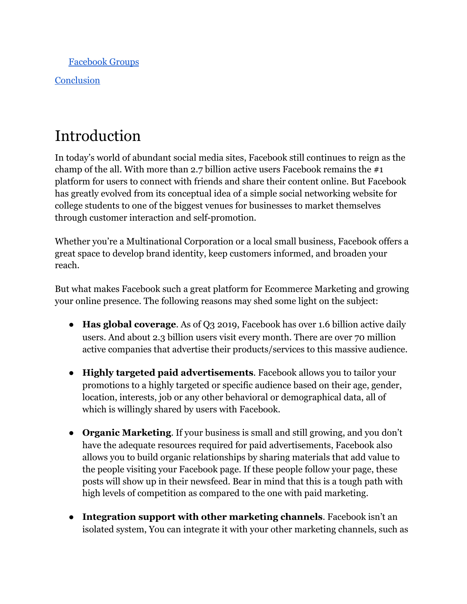[Facebook Groups](#page-9-0)

**[Conclusion](#page-9-1)** 

## <span id="page-1-0"></span>Introduction

In today's world of abundant social media sites, Facebook still continues to reign as the champ of the all. With more than 2.7 billion active users Facebook remains the #1 platform for users to connect with friends and share their content online. But Facebook has greatly evolved from its conceptual idea of a simple social networking website for college students to one of the biggest venues for businesses to market themselves through customer interaction and self-promotion.

Whether you're a Multinational Corporation or a local small business, Facebook offers a great space to develop brand identity, keep customers informed, and broaden your reach.

But what makes Facebook such a great platform for Ecommerce Marketing and growing your online presence. The following reasons may shed some light on the subject:

- **Has global coverage**. As of Q3 2019, Facebook has over 1.6 billion active daily users. And about 2.3 billion users visit every month. There are over 70 million active companies that advertise their products/services to this massive audience.
- **Highly targeted paid advertisements**. Facebook allows you to tailor your promotions to a highly targeted or specific audience based on their age, gender, location, interests, job or any other behavioral or demographical data, all of which is willingly shared by users with Facebook.
- **Organic Marketing**. If your business is small and still growing, and you don't have the adequate resources required for paid advertisements, Facebook also allows you to build organic relationships by sharing materials that add value to the people visiting your Facebook page. If these people follow your page, these posts will show up in their newsfeed. Bear in mind that this is a tough path with high levels of competition as compared to the one with paid marketing.
- **Integration support with other marketing channels**. Facebook isn't an isolated system, You can integrate it with your other marketing channels, such as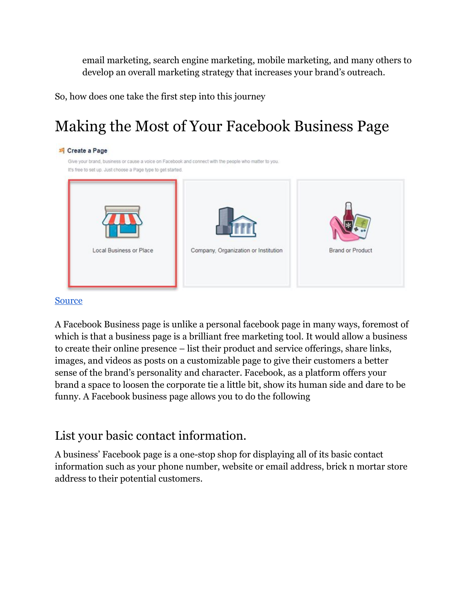email marketing, search engine marketing, mobile marketing, and many others to develop an overall marketing strategy that increases your brand's outreach.

<span id="page-2-0"></span>So, how does one take the first step into this journey

## Making the Most of Your Facebook Business Page

| Local Business or Place | Company, Organization or Institution | <b>Brand or Product</b> |
|-------------------------|--------------------------------------|-------------------------|

#### **[Source](https://wordstream-files-prod.s3.amazonaws.com/s3fs-public/styles/simple_image/public/images/facebook-local-business-page.png?TNFfsCfqISMaQUiWmD0KQj63A2KeLUOd&itok=IIXatPR1)**

A Facebook Business page is unlike a personal facebook page in many ways, foremost of which is that a business page is a brilliant free marketing tool. It would allow a business to create their online presence – list their product and service offerings, share links, images, and videos as posts on a customizable page to give their customers a better sense of the brand's personality and character. Facebook, as a platform offers your brand a space to loosen the corporate tie a little bit, show its human side and dare to be funny. A Facebook business page allows you to do the following

### <span id="page-2-1"></span>List your basic contact information.

A business' Facebook page is a one-stop shop for displaying all of its basic contact information such as your phone number, website or email address, brick n mortar store address to their potential customers.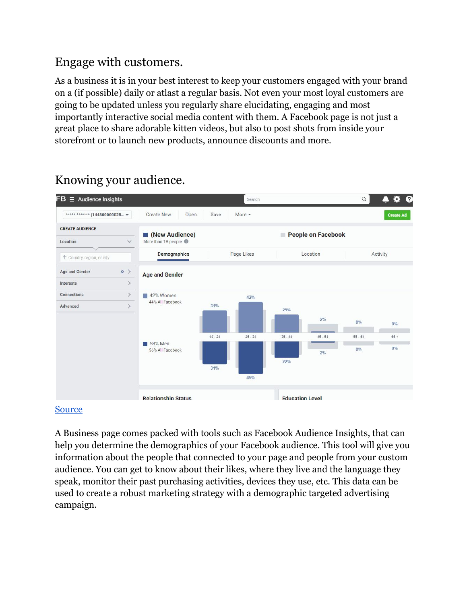### <span id="page-3-0"></span>Engage with customers.

As a business it is in your best interest to keep your customers engaged with your brand on a (if possible) daily or atlast a regular basis. Not even your most loyal customers are going to be updated unless you regularly share elucidating, engaging and most importantly interactive social media content with them. A Facebook page is not just a great place to share adorable kitten videos, but also to post shots from inside your storefront or to launch new products, announce discounts and more.



### <span id="page-3-1"></span>Knowing your audience.

#### [Source](https://www.spcdn.org/images/facebook-marketing-step2.png)

A Business page comes packed with tools such as Facebook Audience Insights, that can help you determine the demographics of your Facebook audience. This tool will give you information about the people that connected to your page and people from your custom audience. You can get to know about their likes, where they live and the language they speak, monitor their past purchasing activities, devices they use, etc. This data can be used to create a robust marketing strategy with a demographic targeted advertising campaign.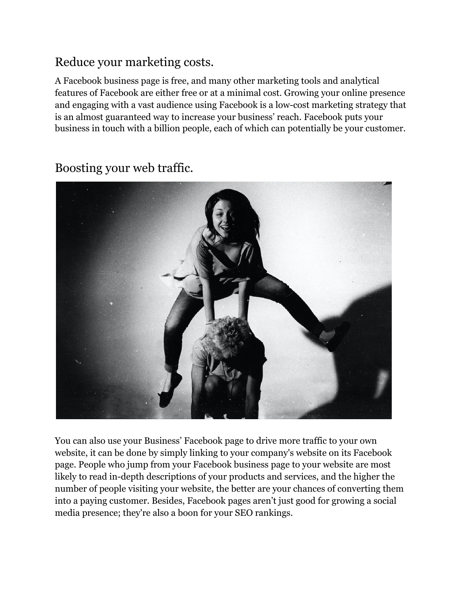### <span id="page-4-0"></span>Reduce your marketing costs.

A Facebook business page is free, and many other marketing tools and analytical features of Facebook are either free or at a minimal cost. Growing your online presence and engaging with a vast audience using Facebook is a low-cost marketing strategy that is an almost guaranteed way to increase your business' reach. Facebook puts your business in touch with a billion people, each of which can potentially be your customer.



<span id="page-4-1"></span>Boosting your web traffic.

You can also use your Business' Facebook page to drive more traffic to your own website, it can be done by simply linking to your company's website on its Facebook page. People who jump from your Facebook business page to your website are most likely to read in-depth descriptions of your products and services, and the higher the number of people visiting your website, the better are your chances of converting them into a paying customer. Besides, Facebook pages aren't just good for growing a social media presence; they're also a boon for your SEO rankings.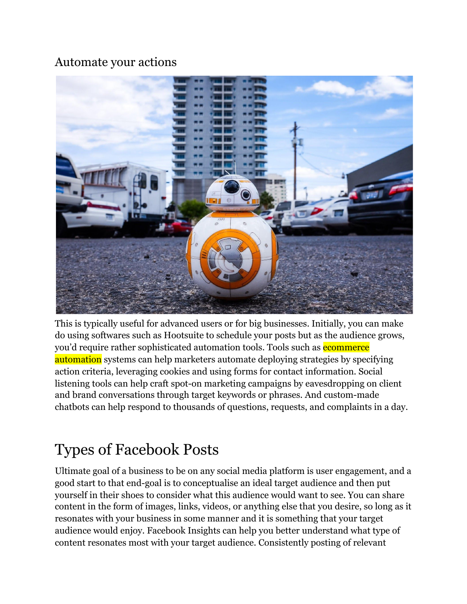### <span id="page-5-0"></span>Automate your actions



This is typically useful for advanced users or for big businesses. Initially, you can make do using softwares such as Hootsuite to schedule your posts but as the audience grows, you'd require rather sophisticated automation tools. Tools such as **ecommerce** automation systems can help marketers automate deploying strategies by specifying action criteria, leveraging cookies and using forms for contact information. Social listening tools can help craft spot-on marketing campaigns by eavesdropping on client and brand conversations through target keywords or phrases. And custom-made chatbots can help respond to thousands of questions, requests, and complaints in a day.

## <span id="page-5-1"></span>Types of Facebook Posts

Ultimate goal of a business to be on any social media platform is user engagement, and a good start to that end-goal is to conceptualise an ideal target audience and then put yourself in their shoes to consider what this audience would want to see. You can share content in the form of images, links, videos, or anything else that you desire, so long as it resonates with your business in some manner and it is something that your target audience would enjoy. Facebook Insights can help you better understand what type of content resonates most with your target audience. Consistently posting of relevant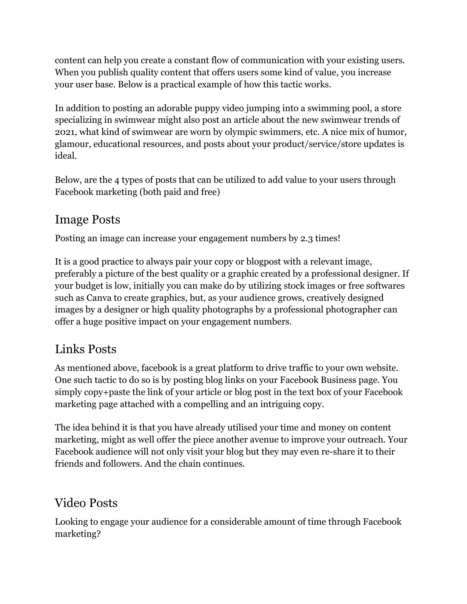content can help you create a constant flow of communication with your existing users. When you publish quality content that offers users some kind of value, you increase your user base. Below is a practical example of how this tactic works.

In addition to posting an adorable puppy video jumping into a swimming pool, a store specializing in swimwear might also post an article about the new swimwear trends of 2021, what kind of swimwear are worn by olympic swimmers, etc. A nice mix of humor, glamour, educational resources, and posts about your product/service/store updates is ideal.

Below, are the 4 types of posts that can be utilized to add value to your users through Facebook marketing (both paid and free)

### <span id="page-6-0"></span>Image Posts

Posting an image can increase your engagement numbers by 2.3 times!

It is a good practice to always pair your copy or blogpost with a relevant image, preferably a picture of the best quality or a graphic created by a professional designer. If your budget is low, initially you can make do by utilizing stock images or free softwares such as Canva to create graphics, but, as your audience grows, creatively designed images by a designer or high quality photographs by a professional photographer can offer a huge positive impact on your engagement numbers.

### <span id="page-6-1"></span>Links Posts

As mentioned above, facebook is a great platform to drive traffic to your own website. One such tactic to do so is by posting blog links on your Facebook Business page. You simply copy+paste the link of your article or blog post in the text box of your Facebook marketing page attached with a compelling and an intriguing copy.

The idea behind it is that you have already utilised your time and money on content marketing, might as well offer the piece another avenue to improve your outreach. Your Facebook audience will not only visit your blog but they may even re-share it to their friends and followers. And the chain continues.

### <span id="page-6-2"></span>Video Posts

Looking to engage your audience for a considerable amount of time through Facebook marketing?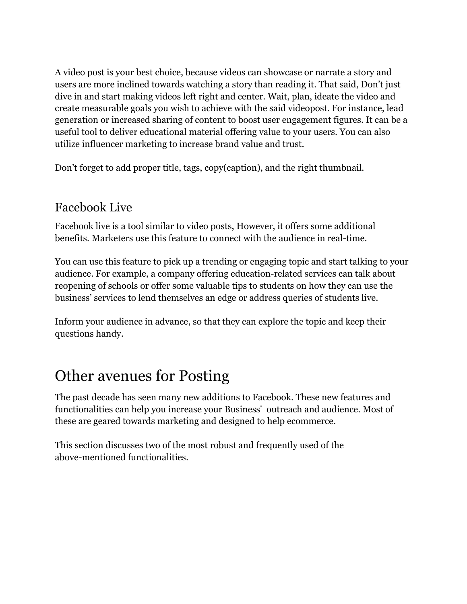A video post is your best choice, because videos can showcase or narrate a story and users are more inclined towards watching a story than reading it. That said, Don't just dive in and start making videos left right and center. Wait, plan, ideate the video and create measurable goals you wish to achieve with the said videopost. For instance, lead generation or increased sharing of content to boost user engagement figures. It can be a useful tool to deliver educational material offering value to your users. You can also utilize influencer marketing to increase brand value and trust.

Don't forget to add proper title, tags, copy(caption), and the right thumbnail.

### <span id="page-7-0"></span>Facebook Live

Facebook live is a tool similar to video posts, However, it offers some additional benefits. Marketers use this feature to connect with the audience in real-time.

You can use this feature to pick up a trending or engaging topic and start talking to your audience. For example, a company offering education-related services can talk about reopening of schools or offer some valuable tips to students on how they can use the business' services to lend themselves an edge or address queries of students live.

Inform your audience in advance, so that they can explore the topic and keep their questions handy.

## <span id="page-7-1"></span>Other avenues for Posting

The past decade has seen many new additions to Facebook. These new features and functionalities can help you increase your Business' outreach and audience. Most of these are geared towards marketing and designed to help ecommerce.

This section discusses two of the most robust and frequently used of the above-mentioned functionalities.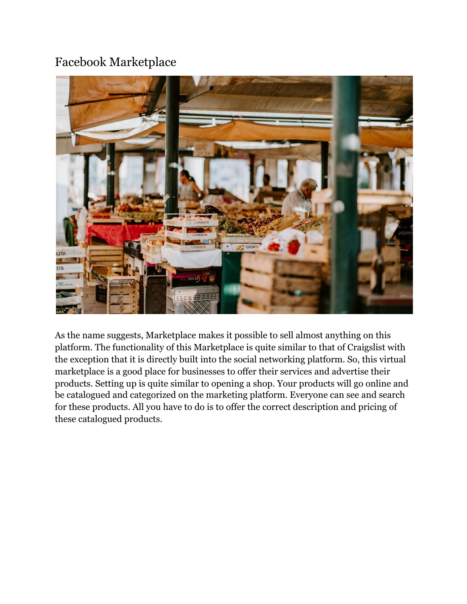### <span id="page-8-0"></span>Facebook Marketplace



As the name suggests, Marketplace makes it possible to sell almost anything on this platform. The functionality of this Marketplace is quite similar to that of Craigslist with the exception that it is directly built into the social networking platform. So, this virtual marketplace is a good place for businesses to offer their services and advertise their products. Setting up is quite similar to opening a shop. Your products will go online and be catalogued and categorized on the marketing platform. Everyone can see and search for these products. All you have to do is to offer the correct description and pricing of these catalogued products.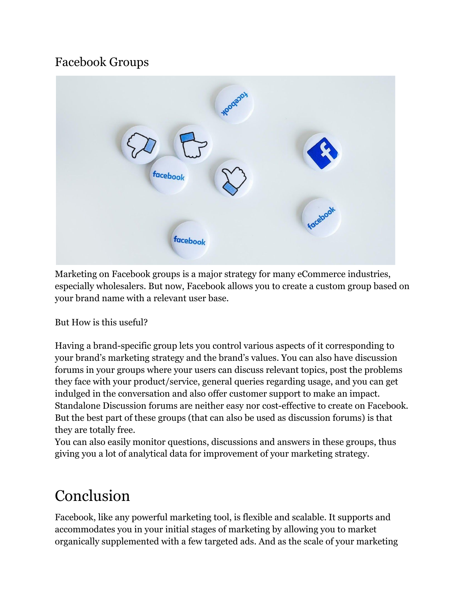### <span id="page-9-0"></span>Facebook Groups



Marketing on Facebook groups is a major strategy for many eCommerce industries, especially wholesalers. But now, Facebook allows you to create a custom group based on your brand name with a relevant user base.

#### But How is this useful?

Having a brand-specific group lets you control various aspects of it corresponding to your brand's marketing strategy and the brand's values. You can also have discussion forums in your groups where your users can discuss relevant topics, post the problems they face with your product/service, general queries regarding usage, and you can get indulged in the conversation and also offer customer support to make an impact. Standalone Discussion forums are neither easy nor cost-effective to create on Facebook. But the best part of these groups (that can also be used as discussion forums) is that they are totally free.

You can also easily monitor questions, discussions and answers in these groups, thus giving you a lot of analytical data for improvement of your marketing strategy.

### <span id="page-9-1"></span>Conclusion

Facebook, like any powerful marketing tool, is flexible and scalable. It supports and accommodates you in your initial stages of marketing by allowing you to market organically supplemented with a few targeted ads. And as the scale of your marketing